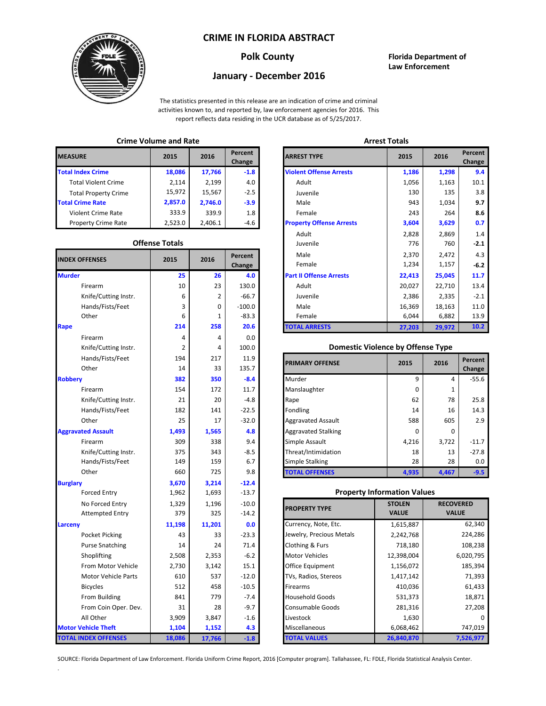## **CRIME IN FLORIDA ABSTRACT**



## **Polk County Florida Department of Law Enforcement**

# **January - December 2016**

The statistics presented in this release are an indication of crime and criminal activities known to, and reported by, law enforcement agencies for 2016. This report reflects data residing in the UCR database as of 5/25/2017.

## **Crime Volume and Rate Arrest Totals**

| <b>MEASURE</b>              | 2015    | 2016    | Percent<br>Change | <b>ARREST TYPE</b>             |
|-----------------------------|---------|---------|-------------------|--------------------------------|
| <b>Total Index Crime</b>    | 18,086  | 17,766  | $-1.8$            | <b>Violent Offense Arrests</b> |
| <b>Total Violent Crime</b>  | 2.114   | 2,199   | 4.0               | Adult                          |
| <b>Total Property Crime</b> | 15,972  | 15,567  | $-2.5$            | Juvenile                       |
| <b>Total Crime Rate</b>     | 2,857.0 | 2.746.0 | $-3.9$            | Male                           |
| Violent Crime Rate          | 333.9   | 339.9   | 1.8               | Female                         |
| <b>Property Crime Rate</b>  | 2,523.0 | 2,406.1 | -4.6              | <b>Property Offense Arrest</b> |

### **Offense Totals**

| <b>INDEX OFFENSES</b>       | 2015   | 2016   | Percent<br>Change | Male<br>Female                           | 2,370<br>1,234 | 2,472<br>1,157   | 4.3<br>$-6.2$ |
|-----------------------------|--------|--------|-------------------|------------------------------------------|----------------|------------------|---------------|
| <b>Murder</b>               | 25     | 26     | 4.0               | <b>Part II Offense Arrests</b>           | 22,413         | 25,045           | 11.7          |
| Firearm                     | 10     | 23     | 130.0             | Adult                                    | 20,027         | 22,710           | 13.4          |
| Knife/Cutting Instr.        | 6      | 2      | $-66.7$           | Juvenile                                 | 2,386          | 2,335            | $-2.1$        |
| Hands/Fists/Feet            | 3      | 0      | $-100.0$          | Male                                     | 16,369         | 18,163           | 11.0          |
| Other                       | 6      | 1      | $-83.3$           | Female                                   | 6,044          | 6,882            | 13.9          |
| Rape                        | 214    | 258    | 20.6              | <b>TOTAL ARRESTS</b>                     | 27,203         | 29,972           | 10.2          |
| Firearm                     | 4      | 4      | 0.0               |                                          |                |                  |               |
| Knife/Cutting Instr.        | 2      | 4      | 100.0             | <b>Domestic Violence by Offense Type</b> |                |                  |               |
| Hands/Fists/Feet            | 194    | 217    | 11.9              | <b>PRIMARY OFFENSE</b>                   | 2015           | 2016             | Percent       |
| Other                       | 14     | 33     | 135.7             |                                          |                |                  | Change        |
| <b>Robbery</b>              | 382    | 350    | $-8.4$            | Murder                                   | 9              | 4                | $-55.6$       |
| Firearm                     | 154    | 172    | 11.7              | Manslaughter                             | $\Omega$       | $\mathbf{1}$     |               |
| Knife/Cutting Instr.        | 21     | 20     | $-4.8$            | Rape                                     | 62             | 78               | 25.8          |
| Hands/Fists/Feet            | 182    | 141    | $-22.5$           | Fondling                                 | 14             | 16               | 14.3          |
| Other                       | 25     | 17     | $-32.0$           | <b>Aggravated Assault</b>                | 588            | 605              | 2.9           |
| <b>Aggravated Assault</b>   | 1,493  | 1,565  | 4.8               | <b>Aggravated Stalking</b>               | $\Omega$       | $\Omega$         |               |
| Firearm                     | 309    | 338    | 9.4               | Simple Assault                           | 4,216          | 3,722            | $-11.7$       |
| Knife/Cutting Instr.        | 375    | 343    | $-8.5$            | Threat/Intimidation                      | 18             | 13               | $-27.8$       |
| Hands/Fists/Feet            | 149    | 159    | 6.7               | <b>Simple Stalking</b>                   | 28             | 28               | 0.0           |
| Other                       | 660    | 725    | 9.8               | <b>TOTAL OFFENSES</b>                    | 4,935          | 4,467            | $-9.5$        |
| <b>Burglary</b>             | 3,670  | 3,214  | $-12.4$           |                                          |                |                  |               |
| <b>Forced Entry</b>         | 1,962  | 1,693  | $-13.7$           | <b>Property Information Values</b>       |                |                  |               |
| No Forced Entry             | 1,329  | 1,196  | $-10.0$           | <b>PROPERTY TYPE</b>                     | <b>STOLEN</b>  | <b>RECOVERED</b> |               |
| <b>Attempted Entry</b>      | 379    | 325    | $-14.2$           |                                          | <b>VALUE</b>   | <b>VALUE</b>     |               |
| Larceny                     | 11,198 | 11,201 | 0.0               | Currency, Note, Etc.                     | 1,615,887      |                  | 62,340        |
| Pocket Picking              | 43     | 33     | $-23.3$           | Jewelry, Precious Metals                 | 2,242,768      |                  | 224,286       |
| <b>Purse Snatching</b>      | 14     | 24     | 71.4              | Clothing & Furs                          | 718,180        |                  | 108,238       |
| Shoplifting                 | 2,508  | 2,353  | $-6.2$            | Motor Vehicles                           | 12,398,004     |                  | 6,020,795     |
| From Motor Vehicle          | 2,730  | 3,142  | 15.1              | Office Equipment                         | 1,156,072      | 185,394          |               |
| Motor Vehicle Parts         | 610    | 537    | $-12.0$           | TVs, Radios, Stereos                     | 1,417,142      |                  | 71,393        |
| <b>Bicycles</b>             | 512    | 458    | $-10.5$           | Firearms                                 | 410,036        |                  | 61,433        |
| From Building               | 841    | 779    | $-7.4$            | <b>Household Goods</b>                   | 531,373        | 18,871           |               |
| From Coin Oper. Dev.        | 31     | 28     | $-9.7$            | Consumable Goods                         | 281,316        |                  | 27,208        |
| All Other                   | 3,909  | 3,847  | $-1.6$            | Livestock                                | 1,630          |                  |               |
| <b>Motor Vehicle Theft</b>  | 1,104  | 1,152  | 4.3               | Miscellaneous                            | 6,068,462      |                  | 747,019       |
| <b>TOTAL INDEX OFFENSES</b> | 18,086 | 17,766 | $-1.8$            | <b>TOTAL VALUES</b>                      | 26,840,870     |                  | 7,526,977     |

.

|                      |                       |         |                   |                                 | .      |        |                   |  |
|----------------------|-----------------------|---------|-------------------|---------------------------------|--------|--------|-------------------|--|
| RΕ                   | 2015                  | 2016    | Percent<br>Change | <b>ARREST TYPE</b>              | 2015   | 2016   | Percent<br>Change |  |
| dex Crime            | 18,086                | 17,766  | $-1.8$            | <b>Violent Offense Arrests</b>  | 1,186  | 1,298  |                   |  |
| ıl Violent Crime     | 2,114                 | 2,199   | 4.0               | Adult                           | 1,056  | 1,163  |                   |  |
| Il Property Crime    | 15,972                | 15,567  | $-2.5$            | Juvenile                        | 130    | 135    |                   |  |
| me Rate              | 2,857.0               | 2,746.0 | $-3.9$            | Male                            | 943    | 1,034  |                   |  |
| ent Crime Rate       | 333.9                 | 339.9   | 1.8               | Female                          | 243    | 264    |                   |  |
| erty Crime Rate      | 2,523.0               | 2,406.1 | -4.6              | <b>Property Offense Arrests</b> | 3,604  | 3,629  |                   |  |
|                      |                       |         |                   | Adult                           | 2,828  | 2,869  |                   |  |
|                      | <b>Offense Totals</b> |         |                   | Juvenile                        | 776    | 760    |                   |  |
| <b>FFENSES</b>       | 2015                  | 2016    | Percent           | Male                            | 2,370  | 2,472  |                   |  |
|                      |                       |         | Change            | Female                          | 1,234  | 1,157  |                   |  |
|                      | 25                    | 26      | 4.0               | <b>Part II Offense Arrests</b>  | 22,413 | 25,045 |                   |  |
| Firearm              | 10                    | 23      | 130.0             | Adult                           | 20,027 | 22,710 |                   |  |
| Knife/Cutting Instr. | 6                     | 2       | $-66.7$           | Juvenile                        | 2,386  | 2,335  |                   |  |
| Hands/Fists/Feet     | 3                     | 0       | $-100.0$          | Male                            | 16,369 | 18,163 |                   |  |
| Other                | 6                     |         | $-83.3$           | Female                          | 6,044  | 6,882  |                   |  |
|                      | 214                   | 258     | 20.6              | <b>TOTAL ARRESTS</b>            | 27,203 | 29,972 |                   |  |
|                      |                       |         |                   |                                 |        |        |                   |  |

#### 2 **Domestic Violence by Offense Type**

| Hands/Fists/Feet<br>Other | 194<br>14 | 217<br>33 | 11.9<br>135.7 | <b>PRIMARY OFFENSE</b>     | 2015     | 2016  | Percent<br>Change |
|---------------------------|-----------|-----------|---------------|----------------------------|----------|-------|-------------------|
|                           | 382       | 350       | $-8.4$        | Murder                     | q        | 4     | $-55.6$           |
| Firearm                   | 154       | 172       | 11.7          | Manslaughter               | $\Omega$ |       |                   |
| Knife/Cutting Instr.      | 21        | 20        | $-4.8$        | Rape                       | 62       | 78    | 25.8              |
| Hands/Fists/Feet          | 182       | 141       | $-22.5$       | Fondling                   | 14       | 16    | 14.3              |
| Other                     | 25        | 17        | $-32.0$       | <b>Aggravated Assault</b>  | 588      | 605   | 2.9               |
| ted Assault               | 1,493     | 1,565     | 4.8           | <b>Aggravated Stalking</b> | 0        | 0     |                   |
| Firearm                   | 309       | 338       | 9.4           | Simple Assault             | 4,216    | 3,722 | $-11.7$           |
| Knife/Cutting Instr.      | 375       | 343       | $-8.5$        | Threat/Intimidation        | 18       | 13    | $-27.8$           |
| Hands/Fists/Feet          | 149       | 159       | 6.7           | <b>Simple Stalking</b>     | 28       | 28    | 0.0               |
| Other                     | 660       | 725       | 9.8           | <b>TOTAL OFFENSES</b>      | 4,935    | 4,467 | $-9.5$            |

### **Property Information Values**

| 1,329  | 1,196  | $-10.0$ | <b>PROPERTY TYPE</b>     | <b>STOLEN</b> | <b>RECOVERED</b> |
|--------|--------|---------|--------------------------|---------------|------------------|
| 379    | 325    | $-14.2$ |                          | <b>VALUE</b>  | <b>VALUE</b>     |
| 11,198 | 11,201 | 0.0     | Currency, Note, Etc.     | 1,615,887     | 62,340           |
| 43     | 33     | $-23.3$ | Jewelry, Precious Metals | 2,242,768     | 224,286          |
| 14     | 24     | 71.4    | Clothing & Furs          | 718,180       | 108,238          |
| 2,508  | 2,353  | $-6.2$  | <b>Motor Vehicles</b>    | 12,398,004    | 6,020,795        |
| 2,730  | 3,142  | 15.1    | Office Equipment         | 1,156,072     | 185,394          |
| 610    | 537    | $-12.0$ | TVs, Radios, Stereos     | 1,417,142     | 71,393           |
| 512    | 458    | $-10.5$ | <b>Firearms</b>          | 410,036       | 61,433           |
| 841    | 779    | $-7.4$  | <b>Household Goods</b>   | 531,373       | 18,871           |
| 31     | 28     | $-9.7$  | <b>Consumable Goods</b>  | 281,316       | 27,208           |
| 3,909  | 3,847  | $-1.6$  | Livestock                | 1,630         |                  |
| 1,104  | 1,152  | 4.3     | Miscellaneous            | 6,068,462     | 747,019          |
| 18,086 | 17,766 | $-1.8$  | <b>TOTAL VALUES</b>      | 26,840,870    | 7,526,977        |

SOURCE: Florida Department of Law Enforcement. Florida Uniform Crime Report, 2016 [Computer program]. Tallahassee, FL: FDLE, Florida Statistical Analysis Center.